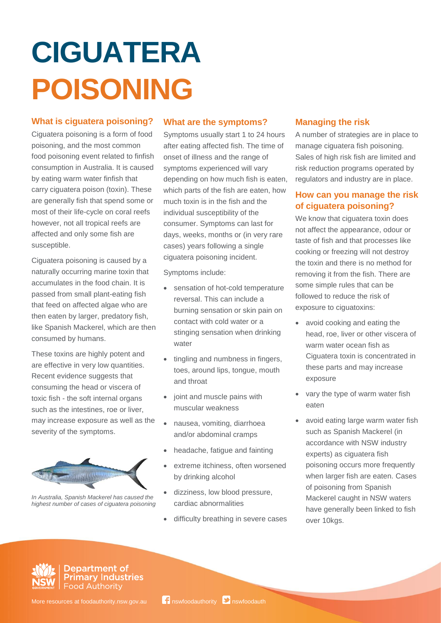# **CIGUATERA POISONING**

#### **What is ciguatera poisoning?**

Ciguatera poisoning is a form of food poisoning, and the most common food poisoning event related to finfish consumption in Australia. It is caused by eating warm water finfish that carry ciguatera poison (toxin). These are generally fish that spend some or most of their life-cycle on coral reefs however, not all tropical reefs are affected and only some fish are susceptible.

Ciguatera poisoning is caused by a naturally occurring marine toxin that accumulates in the food chain. It is passed from small plant-eating fish that feed on affected algae who are then eaten by larger, predatory fish, like Spanish Mackerel, which are then consumed by humans.

These toxins are highly potent and are effective in very low quantities. Recent evidence suggests that consuming the head or viscera of toxic fish - the soft internal organs such as the intestines, roe or liver, may increase exposure as well as the severity of the symptoms.



*In Australia, Spanish Mackerel has caused the highest number of cases of ciguatera poisoning*

#### **What are the symptoms?**

Symptoms usually start 1 to 24 hours after eating affected fish. The time of onset of illness and the range of symptoms experienced will vary depending on how much fish is eaten, which parts of the fish are eaten, how much toxin is in the fish and the individual susceptibility of the consumer. Symptoms can last for days, weeks, months or (in very rare cases) years following a single ciguatera poisoning incident.

Symptoms include:

- sensation of hot-cold temperature reversal. This can include a burning sensation or skin pain on contact with cold water or a stinging sensation when drinking water
- tingling and numbness in fingers, toes, around lips, tongue, mouth and throat
- joint and muscle pains with muscular weakness
- nausea, vomiting, diarrhoea and/or abdominal cramps
- headache, fatigue and fainting
- extreme itchiness, often worsened by drinking alcohol
- dizziness, low blood pressure, cardiac abnormalities
- difficulty breathing in severe cases

## **Managing the risk**

A number of strategies are in place to manage ciguatera fish poisoning. Sales of high risk fish are limited and risk reduction programs operated by regulators and industry are in place.

## **How can you manage the risk of ciguatera poisoning?**

We know that ciguatera toxin does not affect the appearance, odour or taste of fish and that processes like cooking or freezing will not destroy the toxin and there is no method for removing it from the fish. There are some simple rules that can be followed to reduce the risk of exposure to ciguatoxins:

- avoid cooking and eating the head, roe, liver or other viscera of warm water ocean fish as Ciguatera toxin is concentrated in these parts and may increase exposure
- vary the type of warm water fish eaten
- avoid eating large warm water fish such as Spanish Mackerel (in accordance with NSW industry experts) as ciguatera fish poisoning occurs more frequently when larger fish are eaten. Cases of poisoning from Spanish Mackerel caught in NSW waters have generally been linked to fish over 10kgs.



**Department of Primary Industries Food Authority** 

More resources at foodauthority.nsw.gov.au  $\mathbf{f}$  nswfoodauthority  $\mathbf{v}$  nswfoodauth